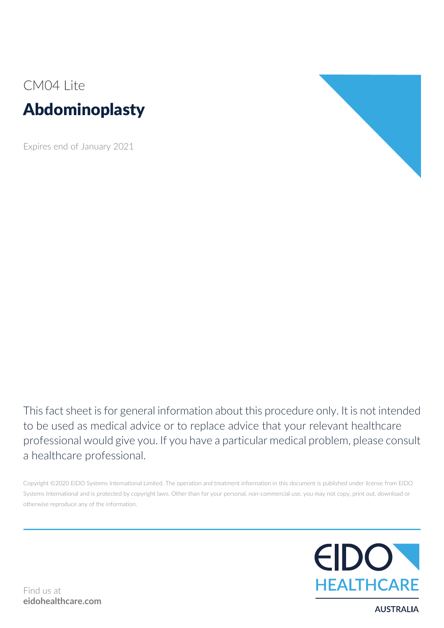# CM04 Lite Abdominoplasty

Expires end of January 2021



This fact sheet is for general information about this procedure only. It is not intended to be used as medical advice or to replace advice that your relevant healthcare professional would give you. If you have a particular medical problem, please consult a healthcare professional.

Copyright ©2020 EIDO Systems International Limited. The operation and treatment information in this document is published under license from EIDO Systems International and is protected by copyright laws. Other than for your personal, non-commercial use, you may not copy, print out, download or otherwise reproduce any of the information.



**AUSTRALIA**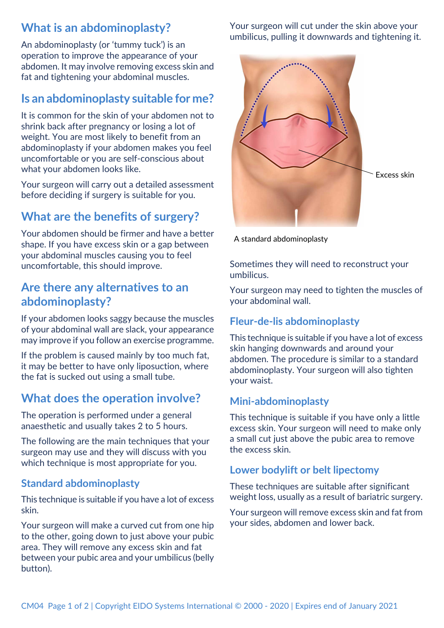## **What is an abdominoplasty?**

An abdominoplasty (or 'tummy tuck') is an operation to improve the appearance of your abdomen. It may involve removing excess skin and fat and tightening your abdominal muscles.

## **Is an abdominoplasty suitable for me?**

It is common for the skin of your abdomen not to shrink back after pregnancy or losing a lot of weight. You are most likely to benefit from an abdominoplasty if your abdomen makes you feel uncomfortable or you are self-conscious about what your abdomen looks like.

Your surgeon will carry out a detailed assessment before deciding if surgery is suitable for you.

## **What are the benefits of surgery?**

Your abdomen should be firmer and have a better shape. If you have excess skin or a gap between your abdominal muscles causing you to feel uncomfortable, this should improve.

## **Are there any alternatives to an abdominoplasty?**

If your abdomen looks saggy because the muscles of your abdominal wall are slack, your appearance may improve if you follow an exercise programme.

If the problem is caused mainly by too much fat, it may be better to have only liposuction, where the fat is sucked out using a small tube.

## **What does the operation involve?**

The operation is performed under a general anaesthetic and usually takes 2 to 5 hours.

The following are the main techniques that your surgeon may use and they will discuss with you which technique is most appropriate for you.

#### **Standard abdominoplasty**

This technique is suitable if you have a lot of excess skin.

Your surgeon will make a curved cut from one hip to the other, going down to just above your pubic area. They will remove any excess skin and fat between your pubic area and your umbilicus (belly button).

Your surgeon will cut under the skin above your umbilicus, pulling it downwards and tightening it.



A standard abdominoplasty

Sometimes they will need to reconstruct your umbilicus.

Your surgeon may need to tighten the muscles of your abdominal wall.

#### **Fleur-de-lis abdominoplasty**

This technique is suitable if you have a lot of excess skin hanging downwards and around your abdomen. The procedure is similar to a standard abdominoplasty. Your surgeon will also tighten your waist.

#### **Mini-abdominoplasty**

This technique is suitable if you have only a little excess skin. Your surgeon will need to make only a small cut just above the pubic area to remove the excess skin.

#### **Lower bodylift or belt lipectomy**

These techniques are suitable after significant weight loss, usually as a result of bariatric surgery.

Your surgeon will remove excess skin and fat from your sides, abdomen and lower back.